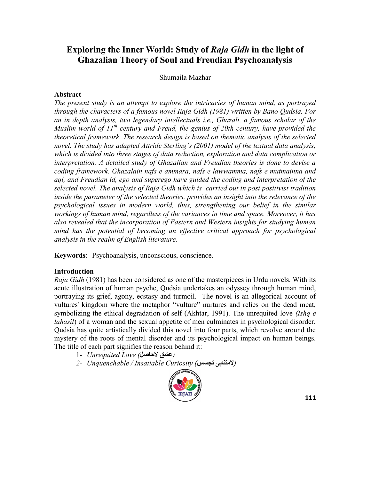Shumaila Mazhar

#### **Abstract**

*The present study is an attempt to explore the intricacies of human mind, as portrayed through the characters of a famous novel Raja Gidh (1981) written by Bano Qudsia. For an in depth analysis, two legendary intellectuals i.e., Ghazali, a famous scholar of the Muslim world of 11th century and Freud, the genius of 20th century, have provided the theoretical framework. The research design is based on thematic analysis of the selected novel. The study has adapted Attride Sterling's (2001) model of the textual data analysis, which is divided into three stages of data reduction, exploration and data complication or interpretation. A detailed study of Ghazalian and Freudian theories is done to devise a coding framework. Ghazalain nafs e ammara, nafs e lawwamma, nafs e mutmainna and aql, and Freudian id, ego and superego have guided the coding and interpretation of the selected novel. The analysis of Raja Gidh which is carried out in post positivist tradition inside the parameter of the selected theories, provides an insight into the relevance of the psychological issues in modern world, thus, strengthening our belief in the similar workings of human mind, regardless of the variances in time and space. Moreover, it has also revealed that the incorporation of Eastern and Western insights for studying human mind has the potential of becoming an effective critical approach for psychological analysis in the realm of English literature.*

**Keywords**: Psychoanalysis, unconscious, conscience.

### **Introduction**

*Raja Gidh* (1981) has been considered as one of the masterpieces in Urdu novels. With its acute illustration of human psyche, Qudsia undertakes an odyssey through human mind, portraying its grief, agony, ecstasy and turmoil. The novel is an allegorical account of vultures' kingdom where the metaphor "vulture" nurtures and relies on the dead meat, symbolizing the ethical degradation of self (Akhtar, 1991). The unrequited love *(Ishq e lahasil*) of a woman and the sexual appetite of men culminates in psychological disorder. Qudsia has quite artistically divided this novel into four parts, which revolve around the mystery of the roots of mental disorder and its psychological impact on human beings. The title of each part signifies the reason behind it:

- *(***عشق الحاصل***) Love Unrequited* 1-
- *2- Unquenchable / Insatiable Curiosity (***تجسس المتناہی***(*

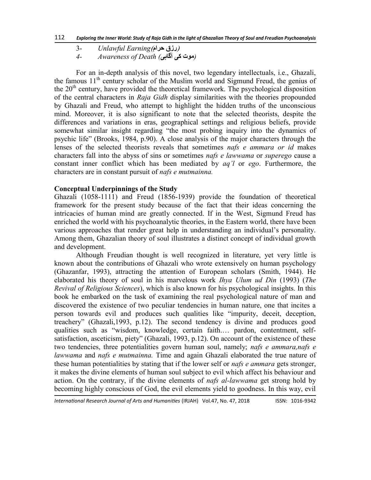- )**رزق حرام**(*Earning Unlawful* 3-
- *(***موت کی آگاہی***) Death of Awareness 4-*

For an in-depth analysis of this novel, two legendary intellectuals, i.e., Ghazali, the famous  $11<sup>th</sup>$  century scholar of the Muslim world and Sigmund Freud, the genius of the  $20<sup>th</sup>$  century, have provided the theoretical framework. The psychological disposition of the central characters in *Raja Gidh* display similarities with the theories propounded by Ghazali and Freud, who attempt to highlight the hidden truths of the unconscious mind. Moreover, it is also significant to note that the selected theorists, despite the differences and variations in eras, geographical settings and religious beliefs, provide somewhat similar insight regarding "the most probing inquiry into the dynamics of psychic life" (Brooks, 1984, p.90). A close analysis of the major characters through the lenses of the selected theorists reveals that sometimes *nafs e ammara or id* makes characters fall into the abyss of sins or sometimes *nafs e lawwama* or *superego* cause a constant inner conflict which has been mediated by *aq'l* or *ego*. Furthermore, the characters are in constant pursuit of *nafs e mutmainna.*

### **Conceptual Underpinnings of the Study**

Ghazali (1058-1111) and Freud (1856-1939) provide the foundation of theoretical framework for the present study because of the fact that their ideas concerning the intricacies of human mind are greatly connected. If in the West, Sigmund Freud has enriched the world with his psychoanalytic theories, in the Eastern world, there have been various approaches that render great help in understanding an individual's personality. Among them, Ghazalian theory of soul illustrates a distinct concept of individual growth and development.

Although Freudian thought is well recognized in literature, yet very little is known about the contributions of Ghazali who wrote extensively on human psychology (Ghazanfar, 1993), attracting the attention of European scholars (Smith, 1944). He elaborated his theory of soul in his marvelous work *Ihya Ulum ud Din* (1993) (*The Revival of Religious Sciences*), which is also known for his psychological insights. In this book he embarked on the task of examining the real psychological nature of man and discovered the existence of two peculiar tendencies in human nature, one that incites a person towards evil and produces such qualities like "impurity, deceit, deception, treachery‖ (Ghazali,1993, p.12). The second tendency is divine and produces good qualities such as "wisdom, knowledge, certain faith.... pardon, contentment, selfsatisfaction, asceticism, piety" (Ghazali, 1993, p.12). On account of the existence of these two tendencies, three potentialities govern human soul, namely; *nafs e ammara,nafs e lawwama* and *nafs e mutmainna.* Time and again Ghazali elaborated the true nature of these human potentialities by stating that if the lower self or *nafs e ammara* gets stronger, it makes the divine elements of human soul subject to evil which affect his behaviour and action. On the contrary, if the divine elements of *nafs al-lawwama* get strong hold by becoming highly conscious of God, the evil elements yield to goodness. In this way, evil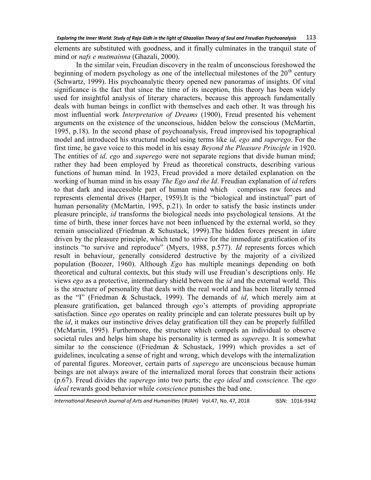elements are substituted with goodness, and it finally culminates in the tranquil state of mind or *nafs e mutmainna* (Ghazali, 2000).

In the similar vein, Freudian discovery in the realm of unconscious foreshowed the beginning of modern psychology as one of the intellectual milestones of the  $20<sup>th</sup>$  century (Schwartz, 1999). His psychoanalytic theory opened new panoramas of insights. Of vital significance is the fact that since the time of its inception, this theory has been widely used for insightful analysis of literary characters, because this approach fundamentally deals with human beings in conflict with themselves and each other. It was through his most influential work *Interpretation of Dreams* (1900), Freud presented his vehement arguments on the existence of the unconscious, hidden below the conscious (McMartin, 1995, p.18). In the second phase of psychoanalysis, Freud improvised his topographical model and introduced his structural model using terms like *id, ego* and *superego*. For the first time, he gave voice to this model in his essay *Beyond the Pleasure Principle* in 1920. The entities of *id, ego* and *superego* were not separate regions that divide human mind; rather they had been employed by Freud as theoretical constructs, describing various functions of human mind. In 1923, Freud provided a more detailed explanation on the working of human mind in his essay *The Ego and the Id*. Freudian explanation of *id* refers to that dark and inaccessible part of human mind which comprises raw forces and represents elemental drives (Harper, 1959).It is the "biological and instinctual" part of human personality (McMartin, 1995, p.21). In order to satisfy the basic instincts under pleasure principle, *id* transforms the biological needs into psychological tensions. At the time of birth, these inner forces have not been influenced by the external world, so they remain unsocialized (Friedman & Schustack, 1999).The hidden forces present in *id*are driven by the pleasure principle, which tend to strive for the immediate gratification of its instincts "to survive and reproduce" (Myers, 1988, p.577). *Id* represents forces which result in behaviour, generally considered destructive by the majority of a civilized population (Boozer, 1960). Although *Ego* has multiple meanings depending on both theoretical and cultural contexts, but this study will use Freudian's descriptions only. He views *ego* as a protective, intermediary shield between the *id* and the external world. This is the structure of personality that deals with the real world and has been literally termed as the "I" (Friedman & Schustack, 1999). The demands of *id*, which merely aim at pleasure gratification, get balanced through *ego*'s attempts of providing appropriate satisfaction. Since *ego* operates on reality principle and can tolerate pressures built up by the *id*, it makes our instinctive drives delay gratification till they can be properly fulfilled (McMartin, 1995). Furthermore, the structure which compels an individual to observe societal rules and helps him shape his personality is termed as *superego.* It is somewhat similar to the conscience ((Friedman  $\&$  Schustack, 1999) which provides a set of guidelines, inculcating a sense of right and wrong, which develops with the internalization of parental figures. Moreover, certain parts of *superego* are unconscious because human beings are not always aware of the internalized moral forces that constrain their actions (p.67). Freud divides the *superego* into two parts; the *ego ideal* and *conscience.* The *ego ideal* rewards good behavior while *conscience* punishes the bad one.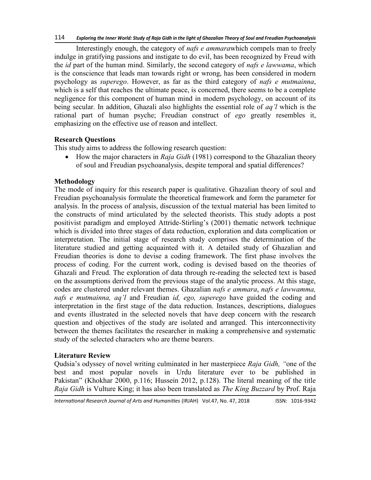Interestingly enough, the category of *nafs e ammara*which compels man to freely indulge in gratifying passions and instigate to do evil, has been recognized by Freud with the *id* part of the human mind. Similarly, the second category of *nafs e lawwama*, which is the conscience that leads man towards right or wrong, has been considered in modern psychology as *superego*. However, as far as the third category of *nafs e mutmainna*, which is a self that reaches the ultimate peace, is concerned, there seems to be a complete negligence for this component of human mind in modern psychology, on account of its being secular. In addition, Ghazali also highlights the essential role of *aq'l* which is the rational part of human psyche; Freudian construct of *ego* greatly resembles it, emphasizing on the effective use of reason and intellect.

# **Research Questions**

This study aims to address the following research question:

• How the major characters in *Raja Gidh* (1981) correspond to the Ghazalian theory of soul and Freudian psychoanalysis, despite temporal and spatial differences?

### **Methodology**

The mode of inquiry for this research paper is qualitative. Ghazalian theory of soul and Freudian psychoanalysis formulate the theoretical framework and form the parameter for analysis. In the process of analysis, discussion of the textual material has been limited to the constructs of mind articulated by the selected theorists. This study adopts a post positivist paradigm and employed Attride-Stirling's (2001) thematic network technique which is divided into three stages of data reduction, exploration and data complication or interpretation. The initial stage of research study comprises the determination of the literature studied and getting acquainted with it. A detailed study of Ghazalian and Freudian theories is done to devise a coding framework. The first phase involves the process of coding. For the current work, coding is devised based on the theories of Ghazali and Freud. The exploration of data through re-reading the selected text is based on the assumptions derived from the previous stage of the analytic process. At this stage, codes are clustered under relevant themes. Ghazalian *nafs e ammara*, *nafs e lawwamma, nafs e mutmainna, aq'l* and Freudian *id, ego, superego* have guided the coding and interpretation in the first stage of the data reduction. Instances, descriptions, dialogues and events illustrated in the selected novels that have deep concern with the research question and objectives of the study are isolated and arranged. This interconnectivity between the themes facilitates the researcher in making a comprehensive and systematic study of the selected characters who are theme bearers.

# **Literature Review**

Qudsia's odyssey of novel writing culminated in her masterpiece *Raja Gidh, ―*one of the best and most popular novels in Urdu literature ever to be published in Pakistan" (Khokhar 2000, p.116; Hussein 2012, p.128). The literal meaning of the title *Raja Gidh* is Vulture King; it has also been translated as *The King Buzzard* by Prof. Raja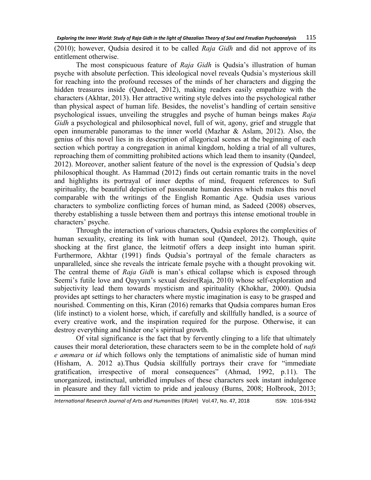(2010); however, Qudsia desired it to be called *Raja Gidh* and did not approve of its entitlement otherwise.

The most conspicuous feature of *Raja Gidh* is Qudsia's illustration of human psyche with absolute perfection. This ideological novel reveals Qudsia's mysterious skill for reaching into the profound recesses of the minds of her characters and digging the hidden treasures inside (Qandeel, 2012), making readers easily empathize with the characters (Akhtar, 2013). Her attractive writing style delves into the psychological rather than physical aspect of human life. Besides, the novelist's handling of certain sensitive psychological issues, unveiling the struggles and psyche of human beings makes *Raja Gidh* a psychological and philosophical novel, full of wit, agony, grief and struggle that open innumerable panoramas to the inner world (Mazhar  $\&$  Aslam, 2012). Also, the genius of this novel lies in its description of allegorical scenes at the beginning of each section which portray a congregation in animal kingdom, holding a trial of all vultures, reproaching them of committing prohibited actions which lead them to insanity (Qandeel, 2012). Moreover, another salient feature of the novel is the expression of Qudsia's deep philosophical thought. As Hammad (2012) finds out certain romantic traits in the novel and highlights its portrayal of inner depths of mind, frequent references to Sufi spirituality, the beautiful depiction of passionate human desires which makes this novel comparable with the writings of the English Romantic Age. Qudsia uses various characters to symbolize conflicting forces of human mind, as Sadeed (2008) observes, thereby establishing a tussle between them and portrays this intense emotional trouble in characters' psyche.

Through the interaction of various characters, Qudsia explores the complexities of human sexuality, creating its link with human soul (Qandeel, 2012). Though, quite shocking at the first glance, the leitmotif offers a deep insight into human spirit. Furthermore, Akhtar (1991) finds Qudsia's portrayal of the female characters as unparalleled, since she reveals the intricate female psyche with a thought provoking wit. The central theme of *Raja Gidh* is man's ethical collapse which is exposed through Seemi's futile love and Qayyum's sexual desire(Raja, 2010) whose self-exploration and subjectivity lead them towards mysticism and spirituality (Khokhar, 2000). Qudsia provides apt settings to her characters where mystic imagination is easy to be grasped and nourished. Commenting on this, Kiran (2016) remarks that Qudsia compares human Eros (life instinct) to a violent horse, which, if carefully and skillfully handled, is a source of every creative work, and the inspiration required for the purpose. Otherwise, it can destroy everything and hinder one's spiritual growth.

Of vital significance is the fact that by fervently clinging to a life that ultimately causes their moral deterioration, these characters seem to be in the complete hold of *nafs e ammara* or *id* which follows only the temptations of animalistic side of human mind (Hisham, A. 2012 a). Thus Qudsia skillfully portrays their crave for "immediate" gratification, irrespective of moral consequences" (Ahmad, 1992, p.11). The unorganized, instinctual, unbridled impulses of these characters seek instant indulgence in pleasure and they fall victim to pride and jealousy (Burns, 2008; Holbrook, 2013;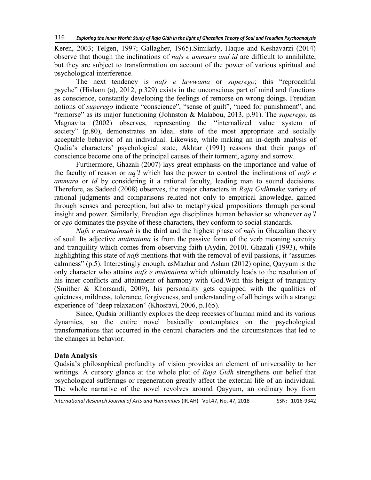Keren, 2003; Telgen, 1997; Gallagher, 1965).Similarly, Haque and Keshavarzi (2014) observe that though the inclinations of *nafs e ammara and id* are difficult to annihilate, but they are subject to transformation on account of the power of various spiritual and psychological interference.

The next tendency is *nafs e lawwama* or *superego*; this "reproachful" psyche‖ (Hisham (a), 2012, p.329) exists in the unconscious part of mind and functions as conscience, constantly developing the feelings of remorse on wrong doings. Freudian notions of *superego* indicate "conscience", "sense of guilt", "need for punishment", and ―remorse‖ as its major functioning (Johnston & Malabou, 2013, p.91). The *superego,* as Magnavita (2002) observes, representing the "internalized value system of society" (p.80), demonstrates an ideal state of the most appropriate and socially acceptable behavior of an individual. Likewise, while making an in-depth analysis of Qudia's characters' psychological state, Akhtar (1991) reasons that their pangs of conscience become one of the principal causes of their torment, agony and sorrow.

Furthermore, Ghazali (2007) lays great emphasis on the importance and value of the faculty of reason or *aq'l* which has the power to control the inclinations of *nafs e ammara* or *id* by considering it a rational faculty, leading man to sound decisions. Therefore, as Sadeed (2008) observes, the major characters in *Raja Gidh*make variety of rational judgments and comparisons related not only to empirical knowledge, gained through senses and perception, but also to metaphysical propositions through personal insight and power. Similarly, Freudian *ego* disciplines human behavior so whenever *aq'l*  or *ego* dominates the psyche of these characters, they conform to social standards.

*Nafs e mutmainnah* is the third and the highest phase of *nafs* in Ghazalian theory of soul. Its adjective *mutmainna* is from the passive form of the verb meaning serenity and tranquility which comes from observing faith (Aydin, 2010). Ghazali (1993), while highlighting this state of *nafs* mentions that with the removal of evil passions, it "assumes" calmness" (p.5). Interestingly enough, as Mazhar and Aslam (2012) opine, Oayyum is the only character who attains *nafs e mutmainna* which ultimately leads to the resolution of his inner conflicts and attainment of harmony with God.With this height of tranquility (Smither & Khorsandi, 2009), his personality gets equipped with the qualities of quietness, mildness, tolerance, forgiveness, and understanding of all beings with a strange experience of "deep relaxation" (Khosravi, 2006, p.165).

Since, Qudsia brilliantly explores the deep recesses of human mind and its various dynamics, so the entire novel basically contemplates on the psychological transformations that occurred in the central characters and the circumstances that led to the changes in behavior.

### **Data Analysis**

Qudsia's philosophical profundity of vision provides an element of universality to her writings. A cursory glance at the whole plot of *Raja Gidh* strengthens our belief that psychological sufferings or regeneration greatly affect the external life of an individual. The whole narrative of the novel revolves around Qayyum, an ordinary boy from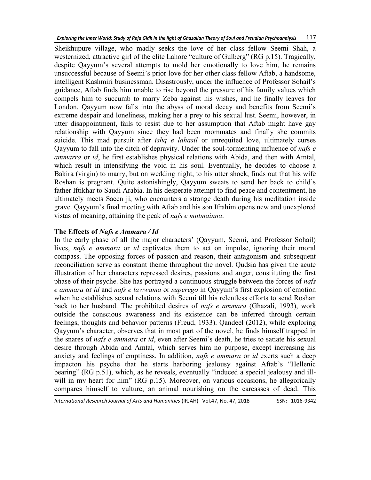Sheikhupure village, who madly seeks the love of her class fellow Seemi Shah, a westernized, attractive girl of the elite Lahore "culture of Gulberg" (RG p.15). Tragically, despite Qayyum's several attempts to mold her emotionally to love him, he remains unsuccessful because of Seemi's prior love for her other class fellow Aftab, a handsome, intelligent Kashmiri businessman. Disastrously, under the influence of Professor Sohail's guidance, Aftab finds him unable to rise beyond the pressure of his family values which compels him to succumb to marry Zeba against his wishes, and he finally leaves for London. Qayyum now falls into the abyss of moral decay and benefits from Seemi's extreme despair and loneliness, making her a prey to his sexual lust. Seemi, however, in utter disappointment, fails to resist due to her assumption that Aftab might have gay relationship with Qayyum since they had been roommates and finally she commits suicide. This mad pursuit after *ishq e lahasil* or unrequited love, ultimately curses Qayyum to fall into the ditch of depravity. Under the soul-tormenting influence of *nafs e ammarra* or *id*, he first establishes physical relations with Abida, and then with Amtal, which result in intensifying the void in his soul. Eventually, he decides to choose a Bakira (virgin) to marry, but on wedding night, to his utter shock, finds out that his wife Roshan is pregnant. Quite astonishingly, Qayyum sweats to send her back to child's father Iftikhar to Saudi Arabia. In his desperate attempt to find peace and contentment, he ultimately meets Saeen ji, who encounters a strange death during his meditation inside grave. Qayyum's final meeting with Aftab and his son Ifrahim opens new and unexplored vistas of meaning, attaining the peak of *nafs e mutmainna*.

### **The Effects of** *Nafs e Ammara / Id*

In the early phase of all the major characters' (Qayyum, Seemi, and Professor Sohail) lives, *nafs e ammara* or *id* captivates them to act on impulse, ignoring their moral compass. The opposing forces of passion and reason, their antagonism and subsequent reconciliation serve as constant theme throughout the novel. Qudsia has given the acute illustration of her characters repressed desires, passions and anger, constituting the first phase of their psyche. She has portrayed a continuous struggle between the forces of *nafs e ammara* or *id* and *nafs e lawwama* or *superego* in Qayyum's first explosion of emotion when he establishes sexual relations with Seemi till his relentless efforts to send Roshan back to her husband. The prohibited desires of *nafs e ammara* (Ghazali, 1993), work outside the conscious awareness and its existence can be inferred through certain feelings, thoughts and behavior patterns (Freud, 1933). Qandeel (2012), while exploring Qayyum's character, observes that in most part of the novel, he finds himself trapped in the snares of *nafs e ammara* or *id*, even after Seemi's death, he tries to satiate his sexual desire through Abida and Amtal, which serves him no purpose, except increasing his anxiety and feelings of emptiness. In addition, *nafs e ammara* or *id* exerts such a deep impacton his psyche that he starts harboring jealousy against Aftab's "Hellenic bearing" (RG p.51), which, as he reveals, eventually "induced a special jealousy and illwill in my heart for him" (RG p.15). Moreover, on various occasions, he allegorically compares himself to vulture, an animal nourishing on the carcasses of dead. This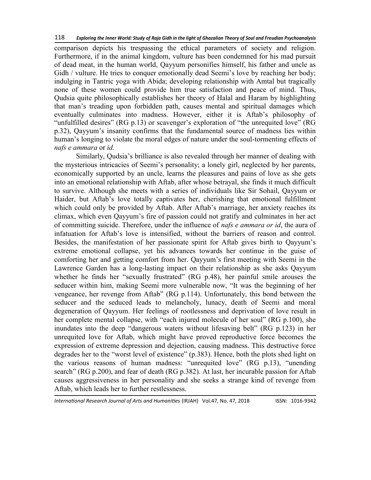comparison depicts his trespassing the ethical parameters of society and religion. Furthermore, if in the animal kingdom, vulture has been condemned for his mad pursuit of dead meat, in the human world, Qayyum personifies himself, his father and uncle as Gidh / vulture. He tries to conquer emotionally dead Seemi's love by reaching her body; indulging in Tantric yoga with Abida; developing relationship with Amtal but tragically none of these women could provide him true satisfaction and peace of mind. Thus, Qudsia quite philosophically establishes her theory of Halal and Haram by highlighting that man's treading upon forbidden path, causes mental and spiritual damages which eventually culminates into madness. However, either it is Aftab's philosophy of "unfulfilled desires" (RG p.13) or scavenger's exploration of "the unrequited love" (RG p.32), Qayyum's insanity confirms that the fundamental source of madness lies within human's longing to violate the moral edges of nature under the soul-tormenting effects of *nafs e ammara* or *id.*

Similarly, Qudsia's brilliance is also revealed through her manner of dealing with the mysterious intricacies of Seemi's personality; a lonely girl, neglected by her parents, economically supported by an uncle, learns the pleasures and pains of love as she gets into an emotional relationship with Aftab, after whose betrayal, she finds it much difficult to survive. Although she meets with a series of individuals like Sir Sohail, Qayyum or Haider, but Aftab's love totally captivates her, cherishing that emotional fulfillment which could only be provided by Aftab. After Aftab's marriage, her anxiety reaches its climax, which even Qayyum's fire of passion could not gratify and culminates in her act of committing suicide. Therefore, under the influence of *nafs e ammara or id*, the aura of infatuation for Aftab's love is intensified, without the barriers of reason and control. Besides, the manifestation of her passionate spirit for Aftab gives birth to Qayyum's extreme emotional collapse, yet his advances towards her continue in the guise of comforting her and getting comfort from her. Qayyum's first meeting with Seemi in the Lawrence Garden has a long-lasting impact on their relationship as she asks Qayyum whether he finds her "sexually frustrated" (RG p.48), her painful smile arouses the seducer within him, making Seemi more vulnerable now, "It was the beginning of her vengeance, her revenge from Aftab" (RG p.114). Unfortunately, this bond between the seducer and the seduced leads to melancholy, lunacy, death of Seemi and moral degeneration of Qayyum. Her feelings of rootlessness and deprivation of love result in her complete mental collapse, with "each injured molecule of her soul" (RG p.100), she inundates into the deep "dangerous waters without lifesaving belt" (RG p.123) in her unrequited love for Aftab, which might have proved reproductive force becomes the expression of extreme depression and dejection, causing madness. This destructive force degrades her to the "worst level of existence" (p.383). Hence, both the plots shed light on the various reasons of human madness: "unrequited love" (RG p.13), "unending search" (RG p.200), and fear of death (RG p.382). At last, her incurable passion for Aftab causes aggressiveness in her personality and she seeks a strange kind of revenge from Aftab, which leads her to further restlessness.

*International Research Journal of Arts and Humanities* (IRJAH) Vol.47, No. 47, 2018 **ISSN: 1016-9342**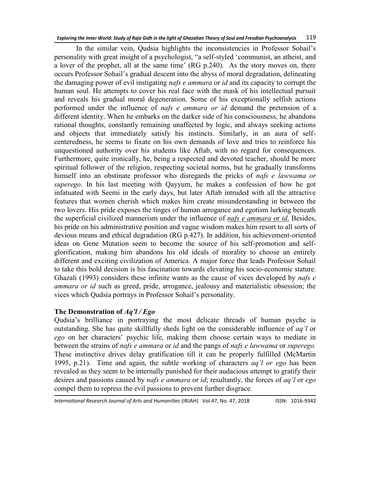In the similar vein, Qudsia highlights the inconsistencies in Professor Sohail's personality with great insight of a psychologist, "a self-styled 'communist, an atheist, and a lover of the prophet, all at the same time' (RG p.240). As the story moves on, there occurs Professor Sohail's gradual descent into the abyss of moral degradation, delineating the damaging power of evil instigating *nafs e ammara* or *id* and its capacity to corrupt the human soul. He attempts to cover his real face with the mask of his intellectual pursuit and reveals his gradual moral degeneration. Some of his exceptionally selfish actions performed under the influence of *nafs e ammara or id* demand the pretension of a different identity. When he embarks on the darker side of his consciousness, he abandons rational thoughts, constantly remaining unaffected by logic, and always seeking actions and objects that immediately satisfy his instincts. Similarly, in an aura of selfcenteredness, he seems to fixate on his own demands of love and tries to reinforce his unquestioned authority over his students like Aftab, with no regard for consequences. Furthermore, quite ironically, he, being a respected and devoted teacher, should be more spiritual follower of the religion, respecting societal norms, but he gradually transforms himself into an obstinate professor who disregards the pricks of *nafs e lawwama or superego*. In his last meeting with Qayyum, he makes a confession of how he got infatuated with Seemi in the early days, but later Aftab intruded with all the attractive features that women cherish which makes him create misunderstanding in between the two lovers. His pride exposes the tinges of human arrogance and egotism lurking beneath the superficial civilized mannerism under the influence of *nafs e ammara* or *id*. Besides, his pride on his administrative position and vague wisdom makes him resort to all sorts of devious means and ethical degradation (RG p.427). In addition, his achievement-oriented ideas on Gene Mutation seem to become the source of his self-promotion and selfglorification, making him abandons his old ideals of morality to choose an entirely different and exciting civilization of America. A major force that leads Professor Sohail to take this bold decision is his fascination towards elevating his socio-economic stature. Ghazali (1993) considers these infinite wants as the cause of vices developed by *nafs e ammara or id* such as greed, pride, arrogance, jealousy and materialistic obsession; the vices which Qudsia portrays in Professor Sohail's personality.

### **The Demonstration of** *Aq'l / Ego*

Qudsia's brilliance in portraying the most delicate threads of human psyche is outstanding. She has quite skillfully sheds light on the considerable influence of *aq'l* or *ego* on her characters' psychic life, making them choose certain ways to mediate in between the strains of *nafs e ammara* or *id* and the pangs of *nafs e lawwama* or *superego.* These instinctive drives delay gratification till it can be properly fulfilled (McMartin 1995, p.21). Time and again, the subtle working of characters *aq'l or ego* has been revealed as they seem to be internally punished for their audacious attempt to gratify their desires and passions caused by *nafs e ammara* or *id*; resultantly, the forces of *aq'l* or *ego* compel them to repress the evil passions to prevent further disgrace.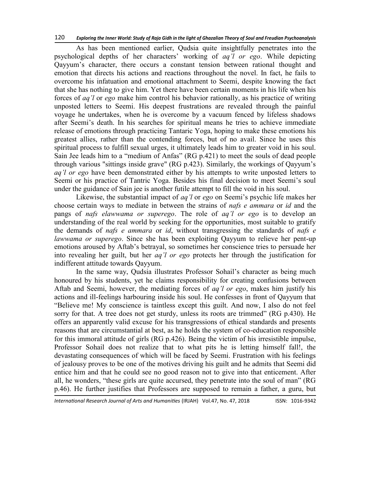As has been mentioned earlier, Qudsia quite insightfully penetrates into the psychological depths of her characters' working of *aq'l or ego*. While depicting Qayyum's character, there occurs a constant tension between rational thought and emotion that directs his actions and reactions throughout the novel. In fact, he fails to overcome his infatuation and emotional attachment to Seemi, despite knowing the fact that she has nothing to give him. Yet there have been certain moments in his life when his forces of *aq'l* or *ego* make him control his behavior rationally, as his practice of writing unposted letters to Seemi. His deepest frustrations are revealed through the painful voyage he undertakes, when he is overcome by a vacuum fenced by lifeless shadows after Seemi's death. In his searches for spiritual means he tries to achieve immediate release of emotions through practicing Tantaric Yoga, hoping to make these emotions his greatest allies, rather than the contending forces, but of no avail. Since he uses this spiritual process to fulfill sexual urges, it ultimately leads him to greater void in his soul. Sain Jee leads him to a "medium of Anfas" (RG p.421) to meet the souls of dead people through various "sittings inside grave" (RG p.423). Similarly, the workings of Qayyum's *aq'l or ego* have been demonstrated either by his attempts to write unposted letters to Seemi or his practice of Tantric Yoga. Besides his final decision to meet Seemi's soul under the guidance of Sain jee is another futile attempt to fill the void in his soul.

Likewise, the substantial impact of *aq'l* or *ego* on Seemi's psychic life makes her choose certain ways to mediate in between the strains of *nafs e ammara* or *id* and the pangs of *nafs elawwama or superego*. The role of *aq'l or ego* is to develop an understanding of the real world by seeking for the opportunities, most suitable to gratify the demands of *nafs e ammara* or *id*, without transgressing the standards of *nafs e lawwama or superego*. Since she has been exploiting Qayyum to relieve her pent-up emotions aroused by Aftab's betrayal, so sometimes her conscience tries to persuade her into revealing her guilt, but her *aq'l or ego* protects her through the justification for indifferent attitude towards Qayyum.

In the same way, Qudsia illustrates Professor Sohail's character as being much honoured by his students, yet he claims responsibility for creating confusions between Aftab and Seemi, however, the mediating forces of *aq'l or ego*, makes him justify his actions and ill-feelings harbouring inside his soul. He confesses in front of Qayyum that "Believe me! My conscience is taintless except this guilt. And now, I also do not feel sorry for that. A tree does not get sturdy, unless its roots are trimmed" (RG p.430). He offers an apparently valid excuse for his transgressions of ethical standards and presents reasons that are circumstantial at best, as he holds the system of co-education responsible for this immoral attitude of girls (RG p.426). Being the victim of his irresistible impulse, Professor Sohail does not realize that to what pits he is letting himself fall!, the devastating consequences of which will be faced by Seemi. Frustration with his feelings of jealousy proves to be one of the motives driving his guilt and he admits that Seemi did entice him and that he could see no good reason not to give into that enticement. After all, he wonders, "these girls are quite accursed, they penetrate into the soul of man" (RG p.46). He further justifies that Professors are supposed to remain a father, a guru, but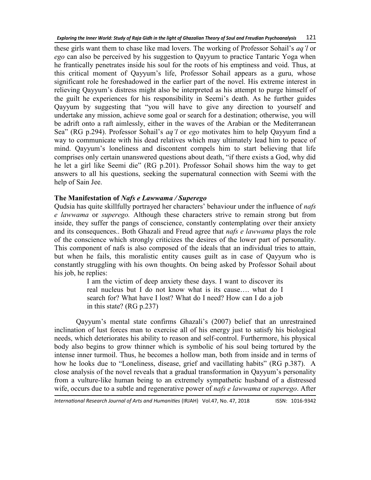these girls want them to chase like mad lovers. The working of Professor Sohail's *aq'l* or *ego* can also be perceived by his suggestion to Qayyum to practice Tantaric Yoga when he frantically penetrates inside his soul for the roots of his emptiness and void. Thus, at this critical moment of Qayyum's life, Professor Sohail appears as a guru, whose significant role he foreshadowed in the earlier part of the novel. His extreme interest in relieving Qayyum's distress might also be interpreted as his attempt to purge himself of the guilt he experiences for his responsibility in Seemi's death. As he further guides Qayyum by suggesting that "you will have to give any direction to yourself and undertake any mission, achieve some goal or search for a destination; otherwise, you will be adrift onto a raft aimlessly, either in the waves of the Arabian or the Mediterranean Sea" (RG p.294). Professor Sohail's *aq'l* or *ego* motivates him to help Qayyum find a way to communicate with his dead relatives which may ultimately lead him to peace of mind. Qayyum's loneliness and discontent compels him to start believing that life comprises only certain unanswered questions about death, "if there exists a God, why did he let a girl like Seemi die" (RG p.201). Professor Sohail shows him the way to get answers to all his questions, seeking the supernatural connection with Seemi with the help of Sain Jee.

# **The Manifestation of** *Nafs e Lawwama / Superego*

Qudsia has quite skillfully portrayed her characters' behaviour under the influence of *nafs e lawwama* or *superego.* Although these characters strive to remain strong but from inside, they suffer the pangs of conscience, constantly contemplating over their anxiety and its consequences.. Both Ghazali and Freud agree that *nafs e lawwama* plays the role of the conscience which strongly criticizes the desires of the lower part of personality. This component of nafs is also composed of the ideals that an individual tries to attain, but when he fails, this moralistic entity causes guilt as in case of Qayyum who is constantly struggling with his own thoughts. On being asked by Professor Sohail about his job, he replies:

I am the victim of deep anxiety these days. I want to discover its real nucleus but I do not know what is its cause…. what do I search for? What have I lost? What do I need? How can I do a job in this state? (RG p.237)

Qayyum's mental state confirms Ghazali's (2007) belief that an unrestrained inclination of lust forces man to exercise all of his energy just to satisfy his biological needs, which deteriorates his ability to reason and self-control. Furthermore, his physical body also begins to grow thinner which is symbolic of his soul being tortured by the intense inner turmoil. Thus, he becomes a hollow man, both from inside and in terms of how he looks due to "Loneliness, disease, grief and vacillating habits" (RG p.387). A close analysis of the novel reveals that a gradual transformation in Qayyum's personality from a vulture-like human being to an extremely sympathetic husband of a distressed wife, occurs due to a subtle and regenerative power of *nafs e lawwama* or *superego*. After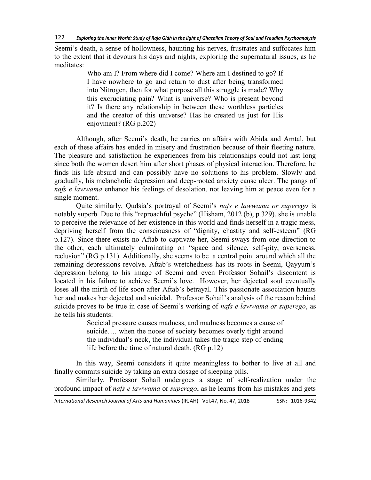Seemi's death, a sense of hollowness, haunting his nerves, frustrates and suffocates him to the extent that it devours his days and nights, exploring the supernatural issues, as he meditates:

> Who am I? From where did I come? Where am I destined to go? If I have nowhere to go and return to dust after being transformed into Nitrogen, then for what purpose all this struggle is made? Why this excruciating pain? What is universe? Who is present beyond it? Is there any relationship in between these worthless particles and the creator of this universe? Has he created us just for His enjoyment? (RG p.202)

Although, after Seemi's death, he carries on affairs with Abida and Amtal, but each of these affairs has ended in misery and frustration because of their fleeting nature. The pleasure and satisfaction he experiences from his relationships could not last long since both the women desert him after short phases of physical interaction. Therefore, he finds his life absurd and can possibly have no solutions to his problem. Slowly and gradually, his melancholic depression and deep-rooted anxiety cause ulcer. The pangs of *nafs e lawwama* enhance his feelings of desolation, not leaving him at peace even for a single moment.

Quite similarly, Qudsia's portrayal of Seemi's *nafs e lawwama or superego* is notably superb. Due to this "reproachful psyche" (Hisham, 2012 (b), p.329), she is unable to perceive the relevance of her existence in this world and finds herself in a tragic mess, depriving herself from the consciousness of "dignity, chastity and self-esteem" (RG p.127). Since there exists no Aftab to captivate her, Seemi sways from one direction to the other, each ultimately culminating on "space and silence, self-pity, averseness, reclusion" (RG p.131). Additionally, she seems to be a central point around which all the remaining depressions revolve. Aftab's wretchedness has its roots in Seemi, Qayyum's depression belong to his image of Seemi and even Professor Sohail's discontent is located in his failure to achieve Seemi's love. However, her dejected soul eventually loses all the mirth of life soon after Aftab's betrayal. This passionate association haunts her and makes her dejected and suicidal. Professor Sohail's analysis of the reason behind suicide proves to be true in case of Seemi's working of *nafs e lawwama or superego*, as he tells his students:

> Societal pressure causes madness, and madness becomes a cause of suicide…. when the noose of society becomes overly tight around the individual's neck, the individual takes the tragic step of ending life before the time of natural death. (RG p.12)

In this way, Seemi considers it quite meaningless to bother to live at all and finally commits suicide by taking an extra dosage of sleeping pills.

Similarly, Professor Sohail undergoes a stage of self-realization under the profound impact of *nafs e lawwama* or *superego*, as he learns from his mistakes and gets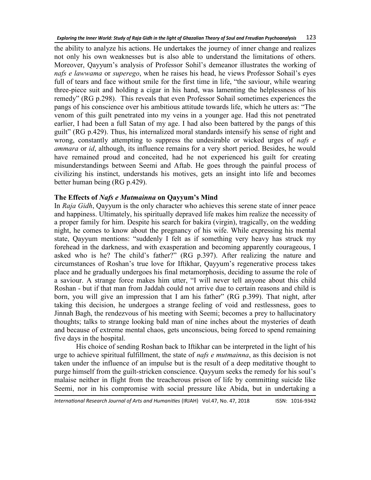the ability to analyze his actions. He undertakes the journey of inner change and realizes not only his own weaknesses but is also able to understand the limitations of others. Moreover, Qayyum's analysis of Professor Sohil's demeanor illustrates the working of *nafs e lawwama* or *superego*, when he raises his head, he views Professor Sohail's eyes full of tears and face without smile for the first time in life, "the saviour, while wearing three-piece suit and holding a cigar in his hand, was lamenting the helplessness of his remedy" (RG p.298). This reveals that even Professor Sohail sometimes experiences the pangs of his conscience over his ambitious attitude towards life, which he utters as: "The venom of this guilt penetrated into my veins in a younger age. Had this not penetrated earlier, I had been a full Satan of my age. I had also been battered by the pangs of this guilt‖ (RG p.429). Thus, his internalized moral standards intensify his sense of right and wrong, constantly attempting to suppress the undesirable or wicked urges of *nafs e ammara* or *id*, although, its influence remains for a very short period. Besides, he would have remained proud and conceited, had he not experienced his guilt for creating misunderstandings between Seemi and Aftab. He goes through the painful process of civilizing his instinct, understands his motives, gets an insight into life and becomes better human being (RG p.429).

# **The Effects of** *Nafs e Mutmainna* **on Qayyum's Mind**

In *Raja Gidh*, Qayyum is the only character who achieves this serene state of inner peace and happiness. Ultimately, his spiritually depraved life makes him realize the necessity of a proper family for him. Despite his search for bakira (virgin), tragically, on the wedding night, he comes to know about the pregnancy of his wife. While expressing his mental state, Qayyum mentions: "suddenly I felt as if something very heavy has struck my forehead in the darkness, and with exasperation and becoming apparently courageous, I asked who is he? The child's father?" (RG p.397). After realizing the nature and circumstances of Roshan's true love for Iftikhar, Qayyum's regenerative process takes place and he gradually undergoes his final metamorphosis, deciding to assume the role of a saviour. A strange force makes him utter, "I will never tell anyone about this child Roshan - but if that man from Jaddah could not arrive due to certain reasons and child is born, you will give an impression that I am his father" (RG p.399). That night, after taking this decision, he undergoes a strange feeling of void and restlessness, goes to Jinnah Bagh, the rendezvous of his meeting with Seemi; becomes a prey to hallucinatory thoughts; talks to strange looking bald man of nine inches about the mysteries of death and because of extreme mental chaos, gets unconscious, being forced to spend remaining five days in the hospital.

His choice of sending Roshan back to Iftikhar can be interpreted in the light of his urge to achieve spiritual fulfillment, the state of *nafs e mutmainna*, as this decision is not taken under the influence of an impulse but is the result of a deep meditative thought to purge himself from the guilt-stricken conscience. Qayyum seeks the remedy for his soul's malaise neither in flight from the treacherous prison of life by committing suicide like Seemi, nor in his compromise with social pressure like Abida, but in undertaking a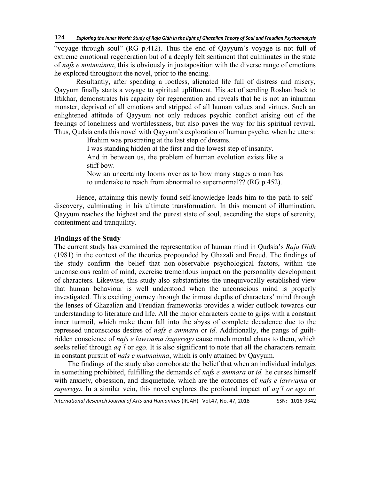"voyage through soul" (RG p.412). Thus the end of Qayyum's voyage is not full of extreme emotional regeneration but of a deeply felt sentiment that culminates in the state of *nafs e mutmainna*, this is obviously in juxtaposition with the diverse range of emotions he explored throughout the novel, prior to the ending.

Resultantly, after spending a rootless, alienated life full of distress and misery, Qayyum finally starts a voyage to spiritual upliftment. His act of sending Roshan back to Iftikhar, demonstrates his capacity for regeneration and reveals that he is not an inhuman monster, deprived of all emotions and stripped of all human values and virtues. Such an enlightened attitude of Qayyum not only reduces psychic conflict arising out of the feelings of loneliness and worthlessness, but also paves the way for his spiritual revival. Thus, Qudsia ends this novel with Qayyum's exploration of human psyche, when he utters:

Ifrahim was prostrating at the last step of dreams.

I was standing hidden at the first and the lowest step of insanity. And in between us, the problem of human evolution exists like a stiff bow.

Now an uncertainty looms over as to how many stages a man has to undertake to reach from abnormal to supernormal?? (RG p.452).

Hence, attaining this newly found self-knowledge leads him to the path to self– discovery, culminating in his ultimate transformation. In this moment of illumination, Qayyum reaches the highest and the purest state of soul, ascending the steps of serenity, contentment and tranquility.

### **Findings of the Study**

The current study has examined the representation of human mind in Qudsia's *Raja Gidh* (1981) in the context of the theories propounded by Ghazali and Freud. The findings of the study confirm the belief that non-observable psychological factors, within the unconscious realm of mind, exercise tremendous impact on the personality development of characters. Likewise, this study also substantiates the unequivocally established view that human behaviour is well understood when the unconscious mind is properly investigated. This exciting journey through the inmost depths of characters' mind through the lenses of Ghazalian and Freudian frameworks provides a wider outlook towards our understanding to literature and life. All the major characters come to grips with a constant inner turmoil, which make them fall into the abyss of complete decadence due to the repressed unconscious desires of *nafs e ammara* or *id*. Additionally, the pangs of guiltridden conscience of *nafs e lawwama /superego* cause much mental chaos to them, which seeks relief through *aq'l* or *ego.* It is also significant to note that all the characters remain in constant pursuit of *nafs e mutmainna*, which is only attained by Qayyum.

The findings of the study also corroborate the belief that when an individual indulges in something prohibited, fulfilling the demands of *nafs e ammara* or *id,* he curses himself with anxiety, obsession, and disquietude, which are the outcomes of *nafs e lawwama* or *superego.* In a similar vein, this novel explores the profound impact of *aq'l or ego* on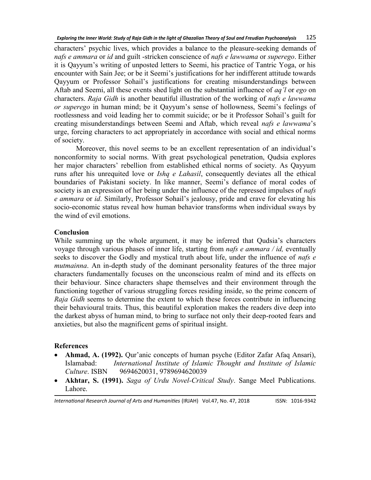characters' psychic lives, which provides a balance to the pleasure-seeking demands of *nafs e ammara* or *id* and guilt -stricken conscience of *nafs e lawwama* or *superego*. Either it is Qayyum's writing of unposted letters to Seemi, his practice of Tantric Yoga, or his encounter with Sain Jee; or be it Seemi's justifications for her indifferent attitude towards Qayyum or Professor Sohail's justifications for creating misunderstandings between Aftab and Seemi, all these events shed light on the substantial influence of *aq'l* or *ego* on characters. *Raja Gidh* is another beautiful illustration of the working of *nafs e lawwama or superego* in human mind; be it Qayyum's sense of hollowness, Seemi's feelings of rootlessness and void leading her to commit suicide; or be it Professor Sohail's guilt for creating misunderstandings between Seemi and Aftab, which reveal *nafs e lawwama*'s urge, forcing characters to act appropriately in accordance with social and ethical norms of society.

Moreover, this novel seems to be an excellent representation of an individual's nonconformity to social norms. With great psychological penetration, Qudsia explores her major characters' rebellion from established ethical norms of society. As Qayyum runs after his unrequited love or *Ishq e Lahasil*, consequently deviates all the ethical boundaries of Pakistani society. In like manner, Seemi's defiance of moral codes of society is an expression of her being under the influence of the repressed impulses of *nafs e ammara* or *id*. Similarly, Professor Sohail's jealousy, pride and crave for elevating his socio-economic status reveal how human behavior transforms when individual sways by the wind of evil emotions.

### **Conclusion**

While summing up the whole argument, it may be inferred that Qudsia's characters voyage through various phases of inner life, starting from *nafs e ammara / id,* eventually seeks to discover the Godly and mystical truth about life, under the influence of *nafs e mutmainna*. An in-depth study of the dominant personality features of the three major characters fundamentally focuses on the unconscious realm of mind and its effects on their behaviour. Since characters shape themselves and their environment through the functioning together of various struggling forces residing inside, so the prime concern of *Raja Gidh* seems to determine the extent to which these forces contribute in influencing their behavioural traits. Thus, this beautiful exploration makes the readers dive deep into the darkest abyss of human mind, to bring to surface not only their deep-rooted fears and anxieties, but also the magnificent gems of spiritual insight.

### **References**

- **Ahmad, A. (1992).** Qur'anic concepts of human psyche (Editor Zafar Afaq Ansari), Islamabad: *International Institute of Islamic Thought and Institute of Islamic Culture*. ISBN 9694620031, 9789694620039
- **Akhtar, S. (1991).** *Saga of Urdu Novel-Critical Study*. Sange Meel Publications. Lahore.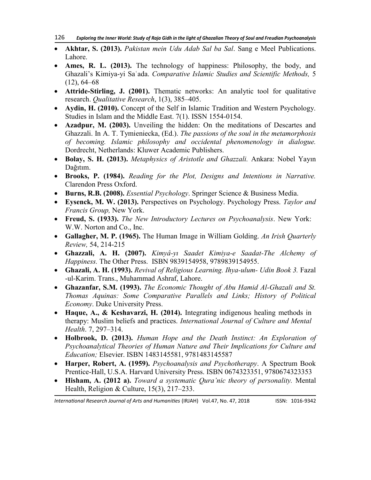- **Akhtar, S. (2013).** *Pakistan mein Udu Adab Sal ba Sal*. Sang e Meel Publications. Lahore.
- **Ames, R. L. (2013).** The technology of happiness: Philosophy, the body, and Ghazali's Kimiya-yi Saʿada. *Comparative Islamic Studies and Scientific Methods,* 5  $(12)$ , 64–68
- **Attride-Stirling, J. (2001).** Thematic networks: An analytic tool for qualitative research. *Qualitative Research*, 1(3), 385–405.
- **Aydin, H. (2010).** Concept of the Self in Islamic Tradition and Western Psychology. Studies in Islam and the Middle East. 7(1). ISSN 1554-0154.
- **Azadpur, M. (2003).** Unveiling the hidden: On the meditations of Descartes and Ghazzali. In A. T. Tymieniecka, (Ed.). *The passions of the soul in the metamorphosis of becoming. Islamic philosophy and occidental phenomenology in dialogue.* Dordrecht, Netherlands: Kluwer Academic Publishers.
- **Bolay, S. H. (2013).** *Metaphysics of Aristotle and Ghazzali.* Ankara: Nobel Yayın Dağıtım.
- **Brooks, P. (1984).** *Reading for the Plot, Designs and Intentions in Narrative.*  Clarendon Press Oxford.
- **Burns, R.B. (2008).** *Essential Psychology*. Springer Science & Business Media.
- **Eysenck, M. W. (2013).** Perspectives on Psychology. Psychology Press. *Taylor and Francis Group,* New York.
- **Freud, S. (1933).** *The New Introductory Lectures on Psychoanalysis*. New York: W.W. Norton and Co., Inc.
- **Gallagher, M. P. (1965).** The Human Image in William Golding. *An Irish Quarterly Review,* 54, 214-215
- **Ghazzali, A. H. (2007).** *Kimyâ-yı Saadet Kimiya-e Saadat-The Alchemy of Happiness.* The Other Press. ISBN 9839154958, 9789839154955.
- **Ghazali, A. H. (1993).** *Revival of Religious Learning. Ihya-ulum- Udin Book 3.* Fazal -ul-Karim. Trans., Muhammad Ashraf, Lahore.
- **Ghazanfar, S.M. (1993).** *The Economic Thought of Abu Hamid Al-Ghazali and St. Thomas Aquinas: Some Comparative Parallels and Links; History of Political Economy*. Duke University Press.
- **Haque, A., & Keshavarzi, H. (2014).** Integrating indigenous healing methods in therapy: Muslim beliefs and practices. *International Journal of Culture and Mental Health*. 7, 297–314.
- **Holbrook, D. (2013).** *Human Hope and the Death Instinct: An Exploration of Psychoanalytical Theories of Human Nature and Their Implications for Culture and Education;* Elsevier. ISBN 1483145581, 9781483145587
- **Harper, Robert, A. (1959).** *Psychoanalysis and Psychotherapy*. A Spectrum Book Prentice-Hall, U.S.A. Harvard University Press. ISBN 0674323351, 9780674323353
- **Hisham, A. (2012 a).** *Toward a systematic Qura'nic theory of personality.* Mental Health, Religion & Culture, 15(3), 217–233.